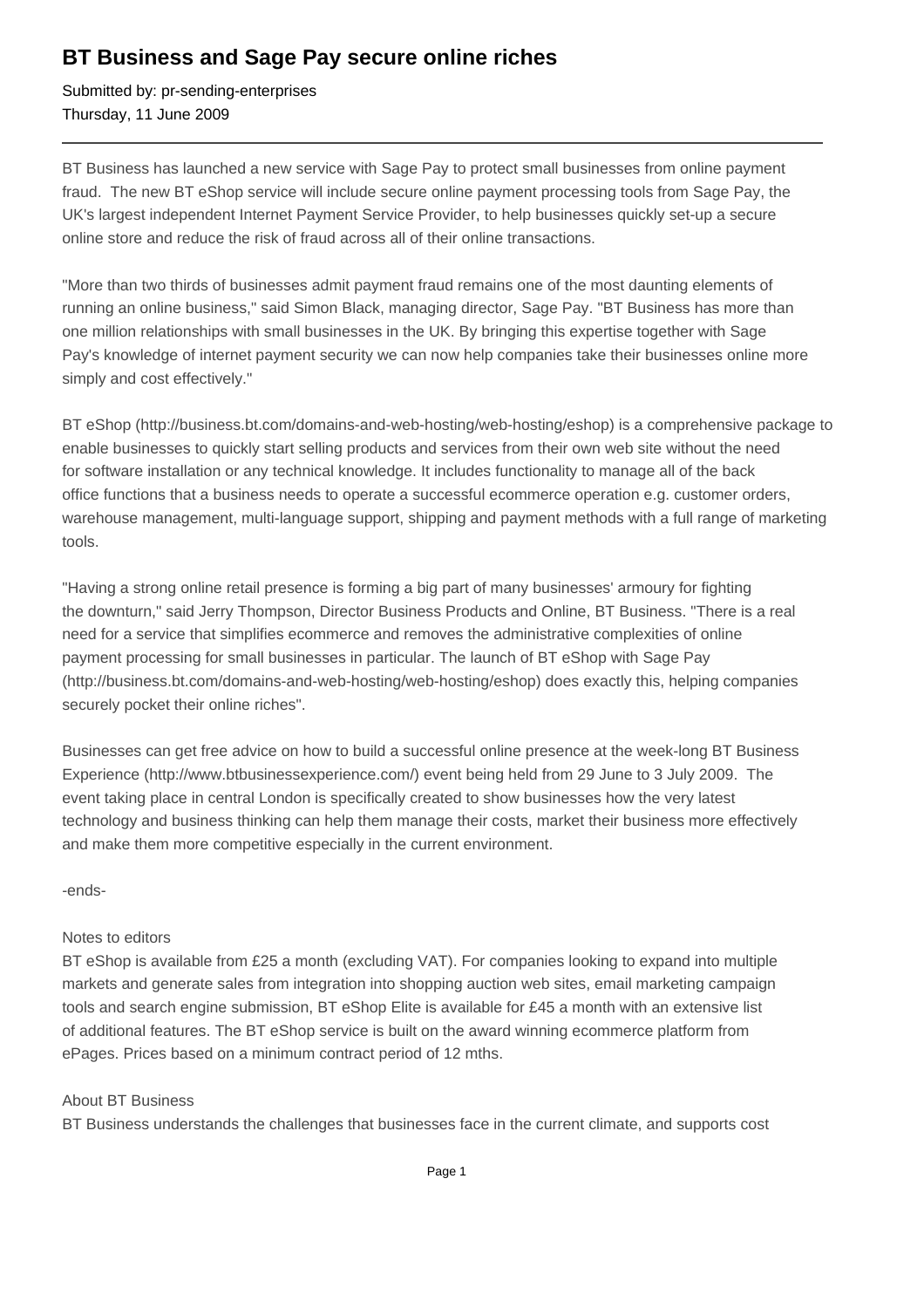## **BT Business and Sage Pay secure online riches**

Submitted by: pr-sending-enterprises Thursday, 11 June 2009

BT Business has launched a new service with Sage Pay to protect small businesses from online payment fraud. The new BT eShop service will include secure online payment processing tools from Sage Pay, the UK's largest independent Internet Payment Service Provider, to help businesses quickly set-up a secure online store and reduce the risk of fraud across all of their online transactions.

"More than two thirds of businesses admit payment fraud remains one of the most daunting elements of running an online business," said Simon Black, managing director, Sage Pay. "BT Business has more than one million relationships with small businesses in the UK. By bringing this expertise together with Sage Pay's knowledge of internet payment security we can now help companies take their businesses online more simply and cost effectively."

BT eShop (http://business.bt.com/domains-and-web-hosting/web-hosting/eshop) is a comprehensive package to enable businesses to quickly start selling products and services from their own web site without the need for software installation or any technical knowledge. It includes functionality to manage all of the back office functions that a business needs to operate a successful ecommerce operation e.g. customer orders, warehouse management, multi-language support, shipping and payment methods with a full range of marketing tools.

"Having a strong online retail presence is forming a big part of many businesses' armoury for fighting the downturn," said Jerry Thompson, Director Business Products and Online, BT Business. "There is a real need for a service that simplifies ecommerce and removes the administrative complexities of online payment processing for small businesses in particular. The launch of BT eShop with Sage Pay (http://business.bt.com/domains-and-web-hosting/web-hosting/eshop) does exactly this, helping companies securely pocket their online riches".

Businesses can get free advice on how to build a successful online presence at the week-long BT Business Experience (http://www.btbusinessexperience.com/) event being held from 29 June to 3 July 2009. The event taking place in central London is specifically created to show businesses how the very latest technology and business thinking can help them manage their costs, market their business more effectively and make them more competitive especially in the current environment.

-ends-

## Notes to editors

BT eShop is available from £25 a month (excluding VAT). For companies looking to expand into multiple markets and generate sales from integration into shopping auction web sites, email marketing campaign tools and search engine submission, BT eShop Elite is available for £45 a month with an extensive list of additional features. The BT eShop service is built on the award winning ecommerce platform from ePages. Prices based on a minimum contract period of 12 mths.

## About BT Business

BT Business understands the challenges that businesses face in the current climate, and supports cost